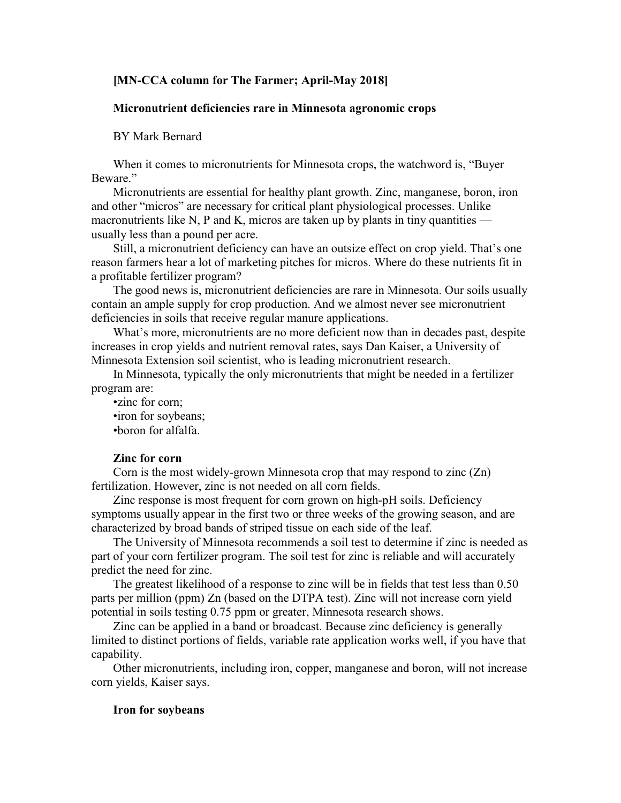## **[MN-CCA column for The Farmer; April-May 2018]**

# **Micronutrient deficiencies rare in Minnesota agronomic crops**

## BY Mark Bernard

When it comes to micronutrients for Minnesota crops, the watchword is, "Buyer Beware."

Micronutrients are essential for healthy plant growth. Zinc, manganese, boron, iron and other "micros" are necessary for critical plant physiological processes. Unlike macronutrients like N, P and K, micros are taken up by plants in tiny quantities usually less than a pound per acre.

Still, a micronutrient deficiency can have an outsize effect on crop yield. That's one reason farmers hear a lot of marketing pitches for micros. Where do these nutrients fit in a profitable fertilizer program?

The good news is, micronutrient deficiencies are rare in Minnesota. Our soils usually contain an ample supply for crop production. And we almost never see micronutrient deficiencies in soils that receive regular manure applications.

What's more, micronutrients are no more deficient now than in decades past, despite increases in crop yields and nutrient removal rates, says Dan Kaiser, a University of Minnesota Extension soil scientist, who is leading micronutrient research.

In Minnesota, typically the only micronutrients that might be needed in a fertilizer program are:

•zinc for corn; •iron for soybeans; •boron for alfalfa.

## **Zinc for corn**

Corn is the most widely-grown Minnesota crop that may respond to zinc (Zn) fertilization. However, zinc is not needed on all corn fields.

Zinc response is most frequent for corn grown on high-pH soils. Deficiency symptoms usually appear in the first two or three weeks of the growing season, and are characterized by broad bands of striped tissue on each side of the leaf.

The University of Minnesota recommends a soil test to determine if zinc is needed as part of your corn fertilizer program. The soil test for zinc is reliable and will accurately predict the need for zinc.

The greatest likelihood of a response to zinc will be in fields that test less than 0.50 parts per million (ppm) Zn (based on the DTPA test). Zinc will not increase corn yield potential in soils testing 0.75 ppm or greater, Minnesota research shows.

Zinc can be applied in a band or broadcast. Because zinc deficiency is generally limited to distinct portions of fields, variable rate application works well, if you have that capability.

Other micronutrients, including iron, copper, manganese and boron, will not increase corn yields, Kaiser says.

#### **Iron for soybeans**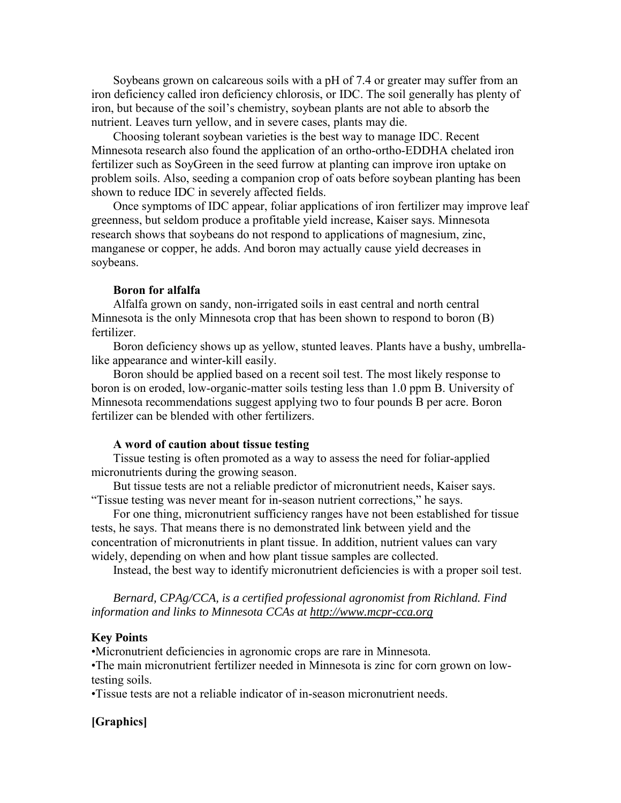Soybeans grown on calcareous soils with a pH of 7.4 or greater may suffer from an iron deficiency called iron deficiency chlorosis, or IDC. The soil generally has plenty of iron, but because of the soil's chemistry, soybean plants are not able to absorb the nutrient. Leaves turn yellow, and in severe cases, plants may die.

Choosing tolerant soybean varieties is the best way to manage IDC. Recent Minnesota research also found the application of an ortho-ortho-EDDHA chelated iron fertilizer such as SoyGreen in the seed furrow at planting can improve iron uptake on problem soils. Also, seeding a companion crop of oats before soybean planting has been shown to reduce IDC in severely affected fields.

Once symptoms of IDC appear, foliar applications of iron fertilizer may improve leaf greenness, but seldom produce a profitable yield increase, Kaiser says. Minnesota research shows that soybeans do not respond to applications of magnesium, zinc, manganese or copper, he adds. And boron may actually cause yield decreases in soybeans.

## **Boron for alfalfa**

Alfalfa grown on sandy, non-irrigated soils in east central and north central Minnesota is the only Minnesota crop that has been shown to respond to boron (B) fertilizer.

Boron deficiency shows up as yellow, stunted leaves. Plants have a bushy, umbrellalike appearance and winter-kill easily.

Boron should be applied based on a recent soil test. The most likely response to boron is on eroded, low-organic-matter soils testing less than 1.0 ppm B. University of Minnesota recommendations suggest applying two to four pounds B per acre. Boron fertilizer can be blended with other fertilizers.

#### **A word of caution about tissue testing**

Tissue testing is often promoted as a way to assess the need for foliar-applied micronutrients during the growing season.

But tissue tests are not a reliable predictor of micronutrient needs, Kaiser says. "Tissue testing was never meant for in-season nutrient corrections," he says.

For one thing, micronutrient sufficiency ranges have not been established for tissue tests, he says. That means there is no demonstrated link between yield and the concentration of micronutrients in plant tissue. In addition, nutrient values can vary widely, depending on when and how plant tissue samples are collected.

Instead, the best way to identify micronutrient deficiencies is with a proper soil test.

*Bernard, CPAg/CCA, is a certified professional agronomist from Richland. Find information and links to Minnesota CCAs at [http://www.mcpr-cca.org](http://www.mcpr-cca.org/)*

### **Key Points**

•Micronutrient deficiencies in agronomic crops are rare in Minnesota.

•The main micronutrient fertilizer needed in Minnesota is zinc for corn grown on lowtesting soils.

•Tissue tests are not a reliable indicator of in-season micronutrient needs.

# **[Graphics]**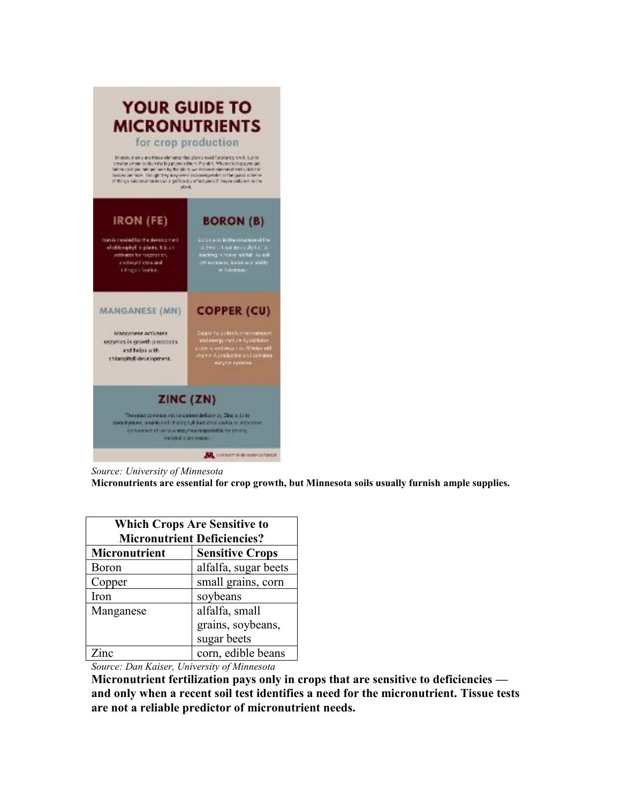

*Source: University of Minnesota* **Micronutrients are essential for crop growth, but Minnesota soils usually furnish ample supplies.**

| <b>Which Crops Are Sensitive to</b><br><b>Micronutrient Deficiencies?</b> |                        |  |
|---------------------------------------------------------------------------|------------------------|--|
| Micronutrient                                                             | <b>Sensitive Crops</b> |  |
| Boron                                                                     | alfalfa, sugar beets   |  |
| Copper                                                                    | small grains, corn     |  |
| Iron                                                                      | soybeans               |  |
| Manganese                                                                 | alfalfa, small         |  |
|                                                                           | grains, soybeans,      |  |
|                                                                           | sugar beets            |  |
|                                                                           | corn, edible beans     |  |

*Source: Dan Kaiser, University of Minnesota*

**Micronutrient fertilization pays only in crops that are sensitive to deficiencies and only when a recent soil test identifies a need for the micronutrient. Tissue tests are not a reliable predictor of micronutrient needs.**